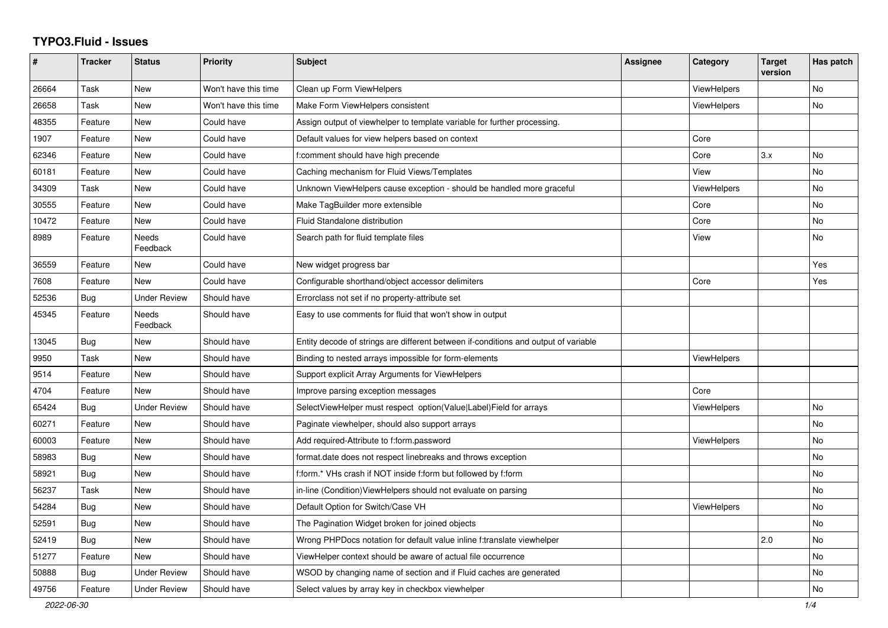## **TYPO3.Fluid - Issues**

| #     | Tracker    | <b>Status</b>       | <b>Priority</b>      | <b>Subject</b>                                                                      | Assignee | Category           | <b>Target</b><br>version | Has patch |
|-------|------------|---------------------|----------------------|-------------------------------------------------------------------------------------|----------|--------------------|--------------------------|-----------|
| 26664 | Task       | New                 | Won't have this time | Clean up Form ViewHelpers                                                           |          | ViewHelpers        |                          | <b>No</b> |
| 26658 | Task       | New                 | Won't have this time | Make Form ViewHelpers consistent                                                    |          | ViewHelpers        |                          | <b>No</b> |
| 48355 | Feature    | New                 | Could have           | Assign output of viewhelper to template variable for further processing.            |          |                    |                          |           |
| 1907  | Feature    | New                 | Could have           | Default values for view helpers based on context                                    |          | Core               |                          |           |
| 62346 | Feature    | New                 | Could have           | f:comment should have high precende                                                 |          | Core               | 3.x                      | No        |
| 60181 | Feature    | New                 | Could have           | Caching mechanism for Fluid Views/Templates                                         |          | View               |                          | No        |
| 34309 | Task       | <b>New</b>          | Could have           | Unknown ViewHelpers cause exception - should be handled more graceful               |          | <b>ViewHelpers</b> |                          | No        |
| 30555 | Feature    | New                 | Could have           | Make TagBuilder more extensible                                                     |          | Core               |                          | No        |
| 10472 | Feature    | New                 | Could have           | Fluid Standalone distribution                                                       |          | Core               |                          | No        |
| 8989  | Feature    | Needs<br>Feedback   | Could have           | Search path for fluid template files                                                |          | View               |                          | No        |
| 36559 | Feature    | <b>New</b>          | Could have           | New widget progress bar                                                             |          |                    |                          | Yes       |
| 7608  | Feature    | <b>New</b>          | Could have           | Configurable shorthand/object accessor delimiters                                   |          | Core               |                          | Yes       |
| 52536 | <b>Bug</b> | <b>Under Review</b> | Should have          | Errorclass not set if no property-attribute set                                     |          |                    |                          |           |
| 45345 | Feature    | Needs<br>Feedback   | Should have          | Easy to use comments for fluid that won't show in output                            |          |                    |                          |           |
| 13045 | Bug        | New                 | Should have          | Entity decode of strings are different between if-conditions and output of variable |          |                    |                          |           |
| 9950  | Task       | <b>New</b>          | Should have          | Binding to nested arrays impossible for form-elements                               |          | ViewHelpers        |                          |           |
| 9514  | Feature    | New                 | Should have          | Support explicit Array Arguments for ViewHelpers                                    |          |                    |                          |           |
| 4704  | Feature    | New                 | Should have          | Improve parsing exception messages                                                  |          | Core               |                          |           |
| 65424 | Bug        | <b>Under Review</b> | Should have          | SelectViewHelper must respect option(Value Label)Field for arrays                   |          | <b>ViewHelpers</b> |                          | <b>No</b> |
| 60271 | Feature    | New                 | Should have          | Paginate viewhelper, should also support arrays                                     |          |                    |                          | No        |
| 60003 | Feature    | <b>New</b>          | Should have          | Add required-Attribute to f:form.password                                           |          | <b>ViewHelpers</b> |                          | <b>No</b> |
| 58983 | Bug        | New                 | Should have          | format.date does not respect linebreaks and throws exception                        |          |                    |                          | No        |
| 58921 | Bug        | New                 | Should have          | f:form.* VHs crash if NOT inside f:form but followed by f:form                      |          |                    |                          | <b>No</b> |
| 56237 | Task       | <b>New</b>          | Should have          | in-line (Condition) View Helpers should not evaluate on parsing                     |          |                    |                          | <b>No</b> |
| 54284 | Bug        | New                 | Should have          | Default Option for Switch/Case VH                                                   |          | ViewHelpers        |                          | No        |
| 52591 | Bug        | New                 | Should have          | The Pagination Widget broken for joined objects                                     |          |                    |                          | No        |
| 52419 | Bug        | New                 | Should have          | Wrong PHPDocs notation for default value inline f:translate viewhelper              |          |                    | 2.0                      | No        |
| 51277 | Feature    | New                 | Should have          | ViewHelper context should be aware of actual file occurrence                        |          |                    |                          | No        |
| 50888 | <b>Bug</b> | <b>Under Review</b> | Should have          | WSOD by changing name of section and if Fluid caches are generated                  |          |                    |                          | No        |
| 49756 | Feature    | <b>Under Review</b> | Should have          | Select values by array key in checkbox viewhelper                                   |          |                    |                          | No        |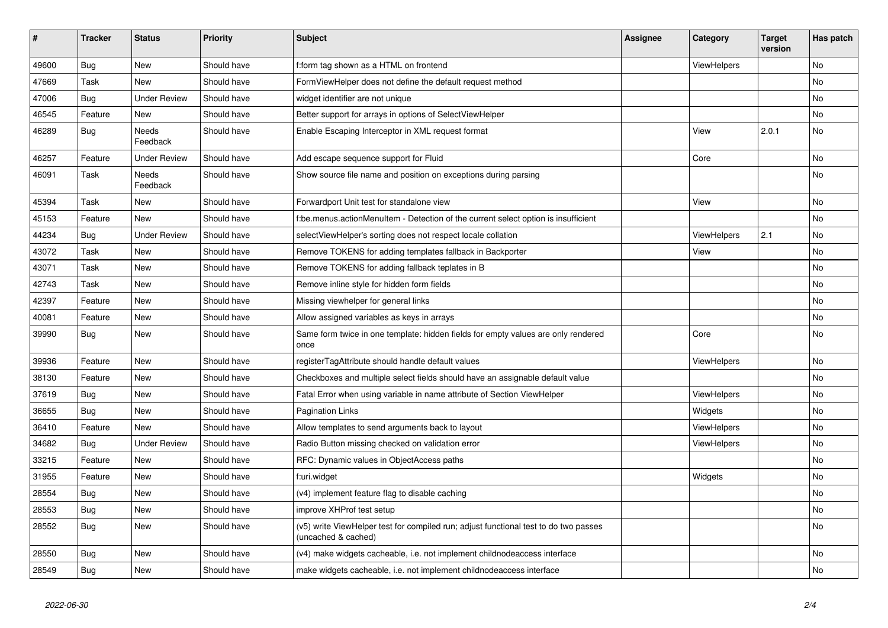| $\vert$ # | <b>Tracker</b> | <b>Status</b>            | <b>Priority</b> | <b>Subject</b>                                                                                              | <b>Assignee</b> | Category           | <b>Target</b><br>version | Has patch |
|-----------|----------------|--------------------------|-----------------|-------------------------------------------------------------------------------------------------------------|-----------------|--------------------|--------------------------|-----------|
| 49600     | <b>Bug</b>     | <b>New</b>               | Should have     | f:form tag shown as a HTML on frontend                                                                      |                 | <b>ViewHelpers</b> |                          | <b>No</b> |
| 47669     | Task           | New                      | Should have     | FormViewHelper does not define the default request method                                                   |                 |                    |                          | <b>No</b> |
| 47006     | <b>Bug</b>     | <b>Under Review</b>      | Should have     | widget identifier are not unique                                                                            |                 |                    |                          | No        |
| 46545     | Feature        | New                      | Should have     | Better support for arrays in options of SelectViewHelper                                                    |                 |                    |                          | No        |
| 46289     | Bug            | <b>Needs</b><br>Feedback | Should have     | Enable Escaping Interceptor in XML request format                                                           |                 | View               | 2.0.1                    | <b>No</b> |
| 46257     | Feature        | <b>Under Review</b>      | Should have     | Add escape sequence support for Fluid                                                                       |                 | Core               |                          | No        |
| 46091     | Task           | Needs<br>Feedback        | Should have     | Show source file name and position on exceptions during parsing                                             |                 |                    |                          | <b>No</b> |
| 45394     | Task           | New                      | Should have     | Forwardport Unit test for standalone view                                                                   |                 | View               |                          | No        |
| 45153     | Feature        | <b>New</b>               | Should have     | f:be.menus.actionMenuItem - Detection of the current select option is insufficient                          |                 |                    |                          | <b>No</b> |
| 44234     | Bug            | <b>Under Review</b>      | Should have     | selectViewHelper's sorting does not respect locale collation                                                |                 | <b>ViewHelpers</b> | 2.1                      | <b>No</b> |
| 43072     | Task           | New                      | Should have     | Remove TOKENS for adding templates fallback in Backporter                                                   |                 | View               |                          | No        |
| 43071     | Task           | New                      | Should have     | Remove TOKENS for adding fallback teplates in B                                                             |                 |                    |                          | No        |
| 42743     | Task           | <b>New</b>               | Should have     | Remove inline style for hidden form fields                                                                  |                 |                    |                          | No        |
| 42397     | Feature        | New                      | Should have     | Missing viewhelper for general links                                                                        |                 |                    |                          | No        |
| 40081     | Feature        | New                      | Should have     | Allow assigned variables as keys in arrays                                                                  |                 |                    |                          | No        |
| 39990     | Bug            | New                      | Should have     | Same form twice in one template: hidden fields for empty values are only rendered<br>once                   |                 | Core               |                          | <b>No</b> |
| 39936     | Feature        | New                      | Should have     | registerTagAttribute should handle default values                                                           |                 | ViewHelpers        |                          | No        |
| 38130     | Feature        | <b>New</b>               | Should have     | Checkboxes and multiple select fields should have an assignable default value                               |                 |                    |                          | <b>No</b> |
| 37619     | Bug            | <b>New</b>               | Should have     | Fatal Error when using variable in name attribute of Section ViewHelper                                     |                 | <b>ViewHelpers</b> |                          | No        |
| 36655     | Bug            | <b>New</b>               | Should have     | Pagination Links                                                                                            |                 | Widgets            |                          | <b>No</b> |
| 36410     | Feature        | New                      | Should have     | Allow templates to send arguments back to layout                                                            |                 | ViewHelpers        |                          | No        |
| 34682     | <b>Bug</b>     | <b>Under Review</b>      | Should have     | Radio Button missing checked on validation error                                                            |                 | <b>ViewHelpers</b> |                          | <b>No</b> |
| 33215     | Feature        | <b>New</b>               | Should have     | RFC: Dynamic values in ObjectAccess paths                                                                   |                 |                    |                          | No        |
| 31955     | Feature        | New                      | Should have     | f:uri.widget                                                                                                |                 | Widgets            |                          | No        |
| 28554     | Bug            | New                      | Should have     | (v4) implement feature flag to disable caching                                                              |                 |                    |                          | <b>No</b> |
| 28553     | Bug            | New                      | Should have     | improve XHProf test setup                                                                                   |                 |                    |                          | <b>No</b> |
| 28552     | Bug            | <b>New</b>               | Should have     | (v5) write ViewHelper test for compiled run; adjust functional test to do two passes<br>(uncached & cached) |                 |                    |                          | <b>No</b> |
| 28550     | <b>Bug</b>     | New                      | Should have     | (v4) make widgets cacheable, i.e. not implement childnodeaccess interface                                   |                 |                    |                          | <b>No</b> |
| 28549     | <b>Bug</b>     | <b>New</b>               | Should have     | make widgets cacheable, i.e. not implement childnodeaccess interface                                        |                 |                    |                          | <b>No</b> |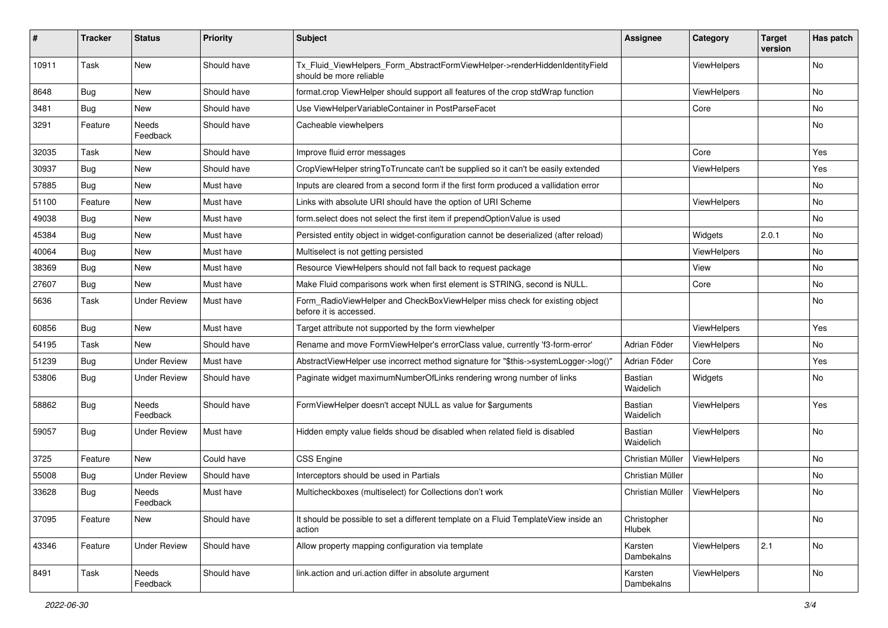| ∦     | <b>Tracker</b> | <b>Status</b>       | <b>Priority</b> | <b>Subject</b>                                                                                         | <b>Assignee</b>             | Category           | <b>Target</b><br>version | Has patch |
|-------|----------------|---------------------|-----------------|--------------------------------------------------------------------------------------------------------|-----------------------------|--------------------|--------------------------|-----------|
| 10911 | Task           | New                 | Should have     | Tx_Fluid_ViewHelpers_Form_AbstractFormViewHelper->renderHiddenIdentityField<br>should be more reliable |                             | ViewHelpers        |                          | No        |
| 8648  | <b>Bug</b>     | New                 | Should have     | format.crop ViewHelper should support all features of the crop stdWrap function                        |                             | ViewHelpers        |                          | No        |
| 3481  | Bug            | New                 | Should have     | Use ViewHelperVariableContainer in PostParseFacet                                                      |                             | Core               |                          | No        |
| 3291  | Feature        | Needs<br>Feedback   | Should have     | Cacheable viewhelpers                                                                                  |                             |                    |                          | No        |
| 32035 | Task           | New                 | Should have     | Improve fluid error messages                                                                           |                             | Core               |                          | Yes       |
| 30937 | Bug            | New                 | Should have     | CropViewHelper stringToTruncate can't be supplied so it can't be easily extended                       |                             | ViewHelpers        |                          | Yes       |
| 57885 | Bug            | New                 | Must have       | Inputs are cleared from a second form if the first form produced a vallidation error                   |                             |                    |                          | No        |
| 51100 | Feature        | New                 | Must have       | Links with absolute URI should have the option of URI Scheme                                           |                             | ViewHelpers        |                          | No        |
| 49038 | <b>Bug</b>     | New                 | Must have       | form.select does not select the first item if prependOptionValue is used                               |                             |                    |                          | No        |
| 45384 | <b>Bug</b>     | New                 | Must have       | Persisted entity object in widget-configuration cannot be deserialized (after reload)                  |                             | Widgets            | 2.0.1                    | No        |
| 40064 | Bug            | New                 | Must have       | Multiselect is not getting persisted                                                                   |                             | <b>ViewHelpers</b> |                          | No        |
| 38369 | Bug            | <b>New</b>          | Must have       | Resource ViewHelpers should not fall back to request package                                           |                             | View               |                          | No.       |
| 27607 | Bug            | New                 | Must have       | Make Fluid comparisons work when first element is STRING, second is NULL.                              |                             | Core               |                          | No        |
| 5636  | Task           | <b>Under Review</b> | Must have       | Form RadioViewHelper and CheckBoxViewHelper miss check for existing object<br>before it is accessed.   |                             |                    |                          | No        |
| 60856 | Bug            | <b>New</b>          | Must have       | Target attribute not supported by the form viewhelper                                                  |                             | ViewHelpers        |                          | Yes       |
| 54195 | Task           | New                 | Should have     | Rename and move FormViewHelper's errorClass value, currently 'f3-form-error'                           | Adrian Föder                | ViewHelpers        |                          | No        |
| 51239 | Bug            | <b>Under Review</b> | Must have       | AbstractViewHelper use incorrect method signature for "\$this->systemLogger->log()"                    | Adrian Föder                | Core               |                          | Yes       |
| 53806 | Bug            | <b>Under Review</b> | Should have     | Paginate widget maximumNumberOfLinks rendering wrong number of links                                   | <b>Bastian</b><br>Waidelich | Widgets            |                          | No        |
| 58862 | Bug            | Needs<br>Feedback   | Should have     | FormViewHelper doesn't accept NULL as value for \$arguments                                            | Bastian<br>Waidelich        | ViewHelpers        |                          | Yes       |
| 59057 | Bug            | <b>Under Review</b> | Must have       | Hidden empty value fields shoud be disabled when related field is disabled                             | <b>Bastian</b><br>Waidelich | ViewHelpers        |                          | No        |
| 3725  | Feature        | New                 | Could have      | <b>CSS Engine</b>                                                                                      | Christian Müller            | <b>ViewHelpers</b> |                          | No        |
| 55008 | Bug            | <b>Under Review</b> | Should have     | Interceptors should be used in Partials                                                                | Christian Müller            |                    |                          | No        |
| 33628 | Bug            | Needs<br>Feedback   | Must have       | Multicheckboxes (multiselect) for Collections don't work                                               | Christian Müller            | ViewHelpers        |                          | No        |
| 37095 | Feature        | New                 | Should have     | It should be possible to set a different template on a Fluid TemplateView inside an<br>action          | Christopher<br>Hlubek       |                    |                          | No        |
| 43346 | Feature        | <b>Under Review</b> | Should have     | Allow property mapping configuration via template                                                      | Karsten<br>Dambekalns       | ViewHelpers        | 2.1                      | No        |
| 8491  | Task           | Needs<br>Feedback   | Should have     | link.action and uri.action differ in absolute argument                                                 | Karsten<br>Dambekalns       | ViewHelpers        |                          | No        |